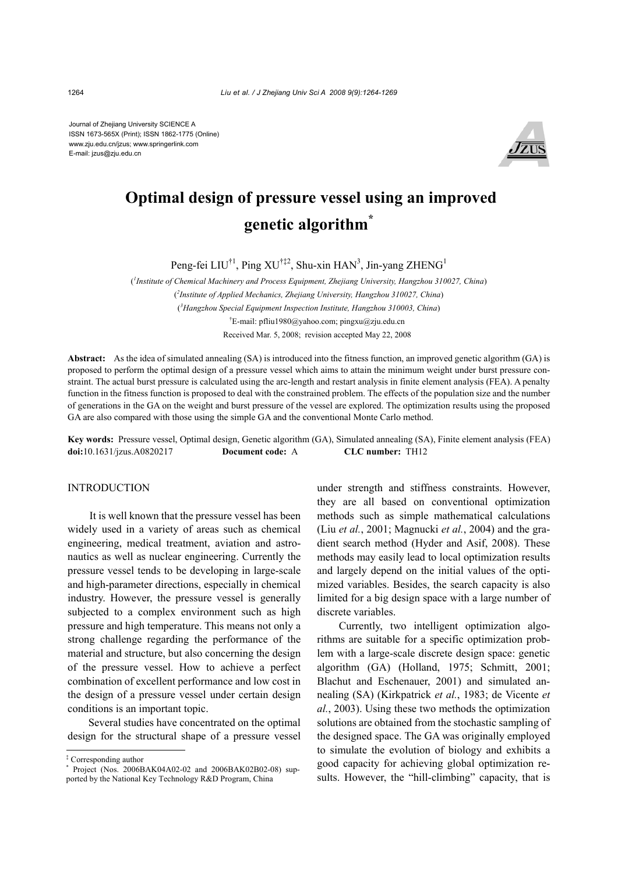Journal of Zhejiang University SCIENCE A ISSN 1673-565X (Print); ISSN 1862-1775 (Online) www.zju.edu.cn/jzus; www.springerlink.com E-mail: jzus@zju.edu.cn



# **Optimal design of pressure vessel using an improved genetic algorithm\***

Peng-fei LIU<sup>†1</sup>, Ping XU<sup>†‡2</sup>, Shu-xin HAN<sup>3</sup>, Jin-yang ZHENG<sup>1</sup>

( *1 Institute of Chemical Machinery and Process Equipment, Zhejiang University, Hangzhou 310027, China*) ( *2 Institute of Applied Mechanics, Zhejiang University, Hangzhou 310027, China*) ( *3 Hangzhou Special Equipment Inspection Institute, Hangzhou 310003, China*) † E-mail: pfliu1980@yahoo.com; pingxu@zju.edu.cn Received Mar. 5, 2008; revision accepted May 22, 2008

**Abstract:** As the idea of simulated annealing (SA) is introduced into the fitness function, an improved genetic algorithm (GA) is proposed to perform the optimal design of a pressure vessel which aims to attain the minimum weight under burst pressure constraint. The actual burst pressure is calculated using the arc-length and restart analysis in finite element analysis (FEA). A penalty function in the fitness function is proposed to deal with the constrained problem. The effects of the population size and the number of generations in the GA on the weight and burst pressure of the vessel are explored. The optimization results using the proposed GA are also compared with those using the simple GA and the conventional Monte Carlo method.

**Key words:** Pressure vessel, Optimal design, Genetic algorithm (GA), Simulated annealing (SA), Finite element analysis (FEA) **doi:**10.1631/jzus.A0820217 **Document code:** A **CLC number:** TH12

## INTRODUCTION

It is well known that the pressure vessel has been widely used in a variety of areas such as chemical engineering, medical treatment, aviation and astronautics as well as nuclear engineering. Currently the pressure vessel tends to be developing in large-scale and high-parameter directions, especially in chemical industry. However, the pressure vessel is generally subjected to a complex environment such as high pressure and high temperature. This means not only a strong challenge regarding the performance of the material and structure, but also concerning the design of the pressure vessel. How to achieve a perfect combination of excellent performance and low cost in the design of a pressure vessel under certain design conditions is an important topic.

Several studies have concentrated on the optimal design for the structural shape of a pressure vessel under strength and stiffness constraints. However, they are all based on conventional optimization methods such as simple mathematical calculations (Liu *et al.*, 2001; Magnucki *et al.*, 2004) and the gradient search method (Hyder and Asif, 2008). These methods may easily lead to local optimization results and largely depend on the initial values of the optimized variables. Besides, the search capacity is also limited for a big design space with a large number of discrete variables.

Currently, two intelligent optimization algorithms are suitable for a specific optimization problem with a large-scale discrete design space: genetic algorithm (GA) (Holland, 1975; Schmitt, 2001; Blachut and Eschenauer, 2001) and simulated annealing (SA) (Kirkpatrick *et al.*, 1983; de Vicente *et al.*, 2003). Using these two methods the optimization solutions are obtained from the stochastic sampling of the designed space. The GA was originally employed to simulate the evolution of biology and exhibits a good capacity for achieving global optimization results. However, the "hill-climbing" capacity, that is

<sup>‡</sup> Corresponding author

<sup>\*</sup> Project (Nos. 2006BAK04A02-02 and 2006BAK02B02-08) supported by the National Key Technology R&D Program, China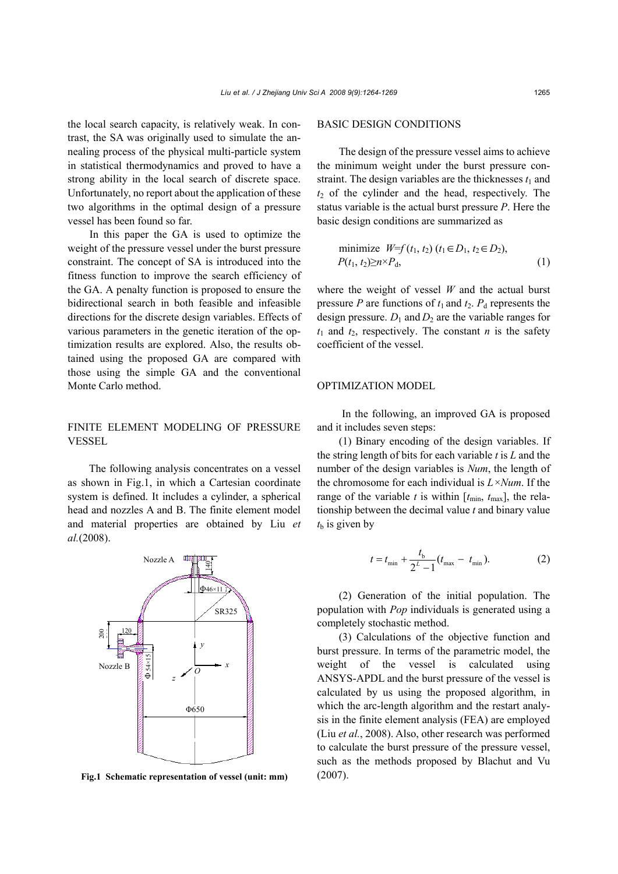the local search capacity, is relatively weak. In contrast, the SA was originally used to simulate the annealing process of the physical multi-particle system in statistical thermodynamics and proved to have a strong ability in the local search of discrete space. Unfortunately, no report about the application of these two algorithms in the optimal design of a pressure vessel has been found so far.

In this paper the GA is used to optimize the weight of the pressure vessel under the burst pressure constraint. The concept of SA is introduced into the fitness function to improve the search efficiency of the GA. A penalty function is proposed to ensure the bidirectional search in both feasible and infeasible directions for the discrete design variables. Effects of various parameters in the genetic iteration of the optimization results are explored. Also, the results obtained using the proposed GA are compared with those using the simple GA and the conventional Monte Carlo method.

## FINITE ELEMENT MODELING OF PRESSURE VESSEL

The following analysis concentrates on a vessel as shown in Fig.1, in which a Cartesian coordinate system is defined. It includes a cylinder, a spherical head and nozzles A and B. The finite element model and material properties are obtained by Liu *et al.*(2008).



**Fig.1 Schematic representation of vessel (unit: mm)** (2007).

#### BASIC DESIGN CONDITIONS

The design of the pressure vessel aims to achieve the minimum weight under the burst pressure constraint. The design variables are the thicknesses  $t_1$  and  $t_2$  of the cylinder and the head, respectively. The status variable is the actual burst pressure *P*. Here the basic design conditions are summarized as

minimize 
$$
W=f(t_1, t_2)
$$
  $(t_1 \in D_1, t_2 \in D_2)$ ,  
\n $P(t_1, t_2) \ge n \times P_d$ , (1)

where the weight of vessel *W* and the actual burst pressure *P* are functions of  $t_1$  and  $t_2$ .  $P_d$  represents the design pressure.  $D_1$  and  $D_2$  are the variable ranges for  $t_1$  and  $t_2$ , respectively. The constant *n* is the safety coefficient of the vessel.

#### OPTIMIZATION MODEL

In the following, an improved GA is proposed and it includes seven steps:

(1) Binary encoding of the design variables. If the string length of bits for each variable *t* is *L* and the number of the design variables is *Num*, the length of the chromosome for each individual is *L×Num*. If the range of the variable *t* is within  $[t_{min}, t_{max}]$ , the relationship between the decimal value *t* and binary value  $t<sub>b</sub>$  is given by

$$
t = t_{\min} + \frac{t_{\rm b}}{2^L - 1} (t_{\max} - t_{\min}).
$$
 (2)

(2) Generation of the initial population. The population with *Pop* individuals is generated using a completely stochastic method.

(3) Calculations of the objective function and burst pressure. In terms of the parametric model, the weight of the vessel is calculated using ANSYS-APDL and the burst pressure of the vessel is calculated by us using the proposed algorithm, in which the arc-length algorithm and the restart analysis in the finite element analysis (FEA) are employed (Liu *et al.*, 2008). Also, other research was performed to calculate the burst pressure of the pressure vessel, such as the methods proposed by Blachut and Vu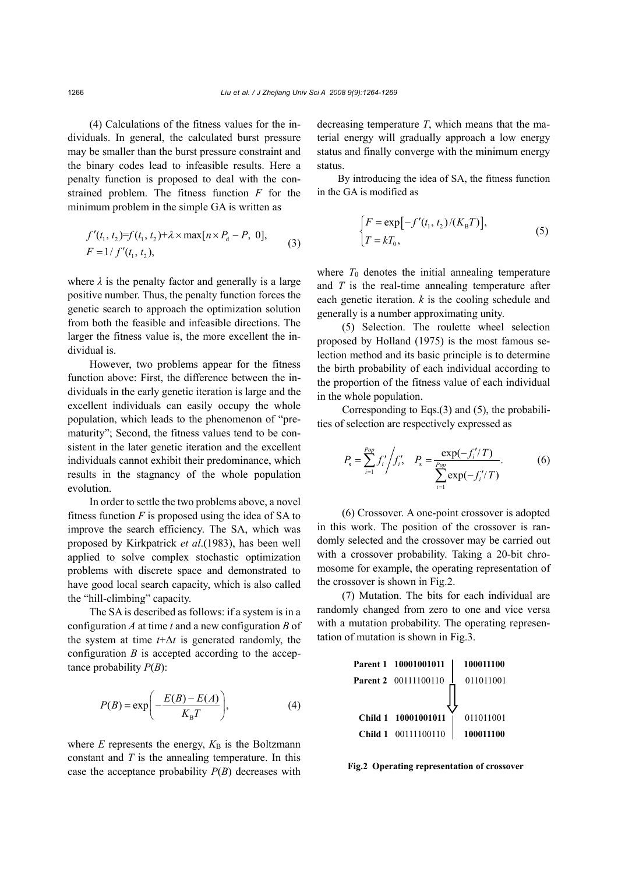(4) Calculations of the fitness values for the individuals. In general, the calculated burst pressure may be smaller than the burst pressure constraint and the binary codes lead to infeasible results. Here a penalty function is proposed to deal with the constrained problem. The fitness function *F* for the minimum problem in the simple GA is written as

$$
f'(t_1, t_2) = f(t_1, t_2) + \lambda \times \max[n \times P_d - P, 0],
$$
  
\n
$$
F = 1/f'(t_1, t_2),
$$
\n(3)

where  $\lambda$  is the penalty factor and generally is a large positive number. Thus, the penalty function forces the genetic search to approach the optimization solution from both the feasible and infeasible directions. The larger the fitness value is, the more excellent the individual is.

However, two problems appear for the fitness function above: First, the difference between the individuals in the early genetic iteration is large and the excellent individuals can easily occupy the whole population, which leads to the phenomenon of "prematurity"; Second, the fitness values tend to be consistent in the later genetic iteration and the excellent individuals cannot exhibit their predominance, which results in the stagnancy of the whole population evolution.

In order to settle the two problems above, a novel fitness function  $F$  is proposed using the idea of SA to improve the search efficiency. The SA, which was proposed by Kirkpatrick *et al*.(1983), has been well applied to solve complex stochastic optimization problems with discrete space and demonstrated to have good local search capacity, which is also called the "hill-climbing" capacity.

The SA is described as follows: if a system is in a configuration *A* at time *t* and a new configuration *B* of the system at time  $t + \Delta t$  is generated randomly, the configuration  $B$  is accepted according to the acceptance probability *P*(*B*):

$$
P(B) = \exp\left(-\frac{E(B) - E(A)}{K_{\rm B}T}\right),\tag{4}
$$

where  $E$  represents the energy,  $K_B$  is the Boltzmann constant and *T* is the annealing temperature. In this case the acceptance probability *P*(*B*) decreases with decreasing temperature *T*, which means that the material energy will gradually approach a low energy status and finally converge with the minimum energy status.

By introducing the idea of SA, the fitness function in the GA is modified as

$$
\begin{cases}\nF = \exp[-f'(t_1, t_2)/(K_{\rm B}T)], \\
T = kT_0,\n\end{cases}
$$
\n(5)

where  $T_0$  denotes the initial annealing temperature and *T* is the real-time annealing temperature after each genetic iteration. *k* is the cooling schedule and generally is a number approximating unity.

(5) Selection. The roulette wheel selection proposed by Holland (1975) is the most famous selection method and its basic principle is to determine the birth probability of each individual according to the proportion of the fitness value of each individual in the whole population.

Corresponding to Eqs.(3) and (5), the probabilities of selection are respectively expressed as

$$
P_{s} = \sum_{i=1}^{Pop} f'_{i} / f'_{i}, \quad P_{s} = \frac{\exp(-f'_{i}/T)}{\sum_{i=1}^{Pop} \exp(-f'_{i}/T)}.
$$
 (6)

(6) Crossover. A one-point crossover is adopted in this work. The position of the crossover is randomly selected and the crossover may be carried out with a crossover probability. Taking a 20-bit chromosome for example, the operating representation of the crossover is shown in Fig.2.

(7) Mutation. The bits for each individual are randomly changed from zero to one and vice versa with a mutation probability. The operating representation of mutation is shown in Fig.3.



**Fig.2 Operating representation of crossover**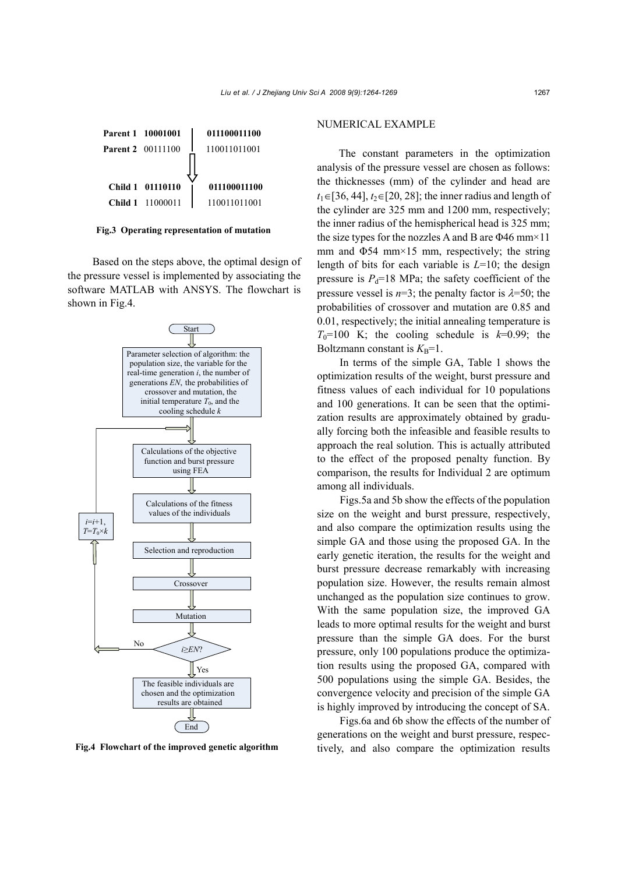

**Fig.3 Operating representation of mutation**

Based on the steps above, the optimal design of the pressure vessel is implemented by associating the software MATLAB with ANSYS. The flowchart is shown in Fig.4.



**Fig.4 Flowchart of the improved genetic algorithm**

### NUMERICAL EXAMPLE

The constant parameters in the optimization analysis of the pressure vessel are chosen as follows: the thicknesses (mm) of the cylinder and head are  $t_1 \in [36, 44]$ ,  $t_2 \in [20, 28]$ ; the inner radius and length of the cylinder are 325 mm and 1200 mm, respectively; the inner radius of the hemispherical head is 325 mm; the size types for the nozzles A and B are Φ46 mm×11 mm and  $\Phi$ 54 mm×15 mm, respectively; the string length of bits for each variable is *L*=10; the design pressure is  $P_d=18$  MPa; the safety coefficient of the pressure vessel is  $n=3$ ; the penalty factor is  $\lambda=50$ ; the probabilities of crossover and mutation are 0.85 and 0.01, respectively; the initial annealing temperature is  $T_0$ =100 K; the cooling schedule is  $k=0.99$ ; the Boltzmann constant is  $K_{\rm B}=1$ .

In terms of the simple GA, Table 1 shows the optimization results of the weight, burst pressure and fitness values of each individual for 10 populations and 100 generations. It can be seen that the optimization results are approximately obtained by gradually forcing both the infeasible and feasible results to approach the real solution. This is actually attributed to the effect of the proposed penalty function. By comparison, the results for Individual 2 are optimum among all individuals.

Figs.5a and 5b show the effects of the population size on the weight and burst pressure, respectively, and also compare the optimization results using the simple GA and those using the proposed GA. In the early genetic iteration, the results for the weight and burst pressure decrease remarkably with increasing population size. However, the results remain almost unchanged as the population size continues to grow. With the same population size, the improved GA leads to more optimal results for the weight and burst pressure than the simple GA does. For the burst pressure, only 100 populations produce the optimization results using the proposed GA, compared with 500 populations using the simple GA. Besides, the convergence velocity and precision of the simple GA is highly improved by introducing the concept of SA.

Figs.6a and 6b show the effects of the number of generations on the weight and burst pressure, respectively, and also compare the optimization results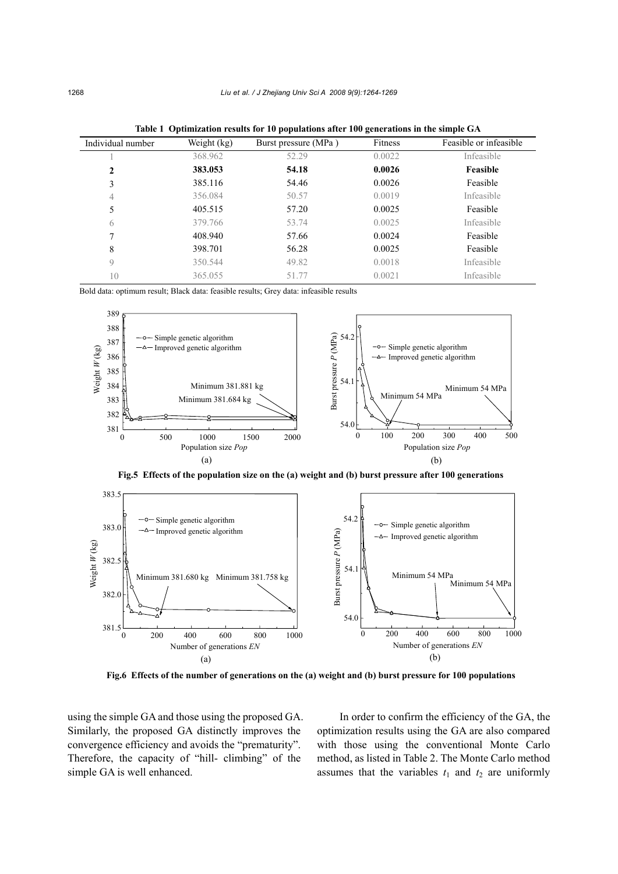| Individual number | Weight (kg) | Burst pressure (MPa) | Fitness | Feasible or infeasible |
|-------------------|-------------|----------------------|---------|------------------------|
|                   | 368.962     | 52.29                | 0.0022  | Infeasible             |
| 2                 | 383.053     | 54.18                | 0.0026  | Feasible               |
| 3                 | 385.116     | 54.46                | 0.0026  | Feasible               |
| 4                 | 356.084     | 50.57                | 0.0019  | Infeasible             |
| 5                 | 405.515     | 57.20                | 0.0025  | Feasible               |
| 6                 | 379.766     | 53.74                | 0.0025  | Infeasible             |
|                   | 408.940     | 57.66                | 0.0024  | Feasible               |
| 8                 | 398.701     | 56.28                | 0.0025  | Feasible               |
| 9                 | 350.544     | 49.82                | 0.0018  | Infeasible             |
| 10                | 365.055     | 51.77                | 0.0021  | Infeasible             |

**Table 1 Optimization results for 10 populations after 100 generations in the simple GA**

Bold data: optimum result; Black data: feasible results; Grey data: infeasible results



**Fig.5 Effects of the population size on the (a) weight and (b) burst pressure after 100 generations** 



**Fig.6 Effects of the number of generations on the (a) weight and (b) burst pressure for 100 populations**

using the simple GA and those using the proposed GA. Similarly, the proposed GA distinctly improves the convergence efficiency and avoids the "prematurity". Therefore, the capacity of "hill- climbing" of the simple GA is well enhanced.

In order to confirm the efficiency of the GA, the optimization results using the GA are also compared with those using the conventional Monte Carlo method, as listed in Table 2. The Monte Carlo method assumes that the variables  $t_1$  and  $t_2$  are uniformly